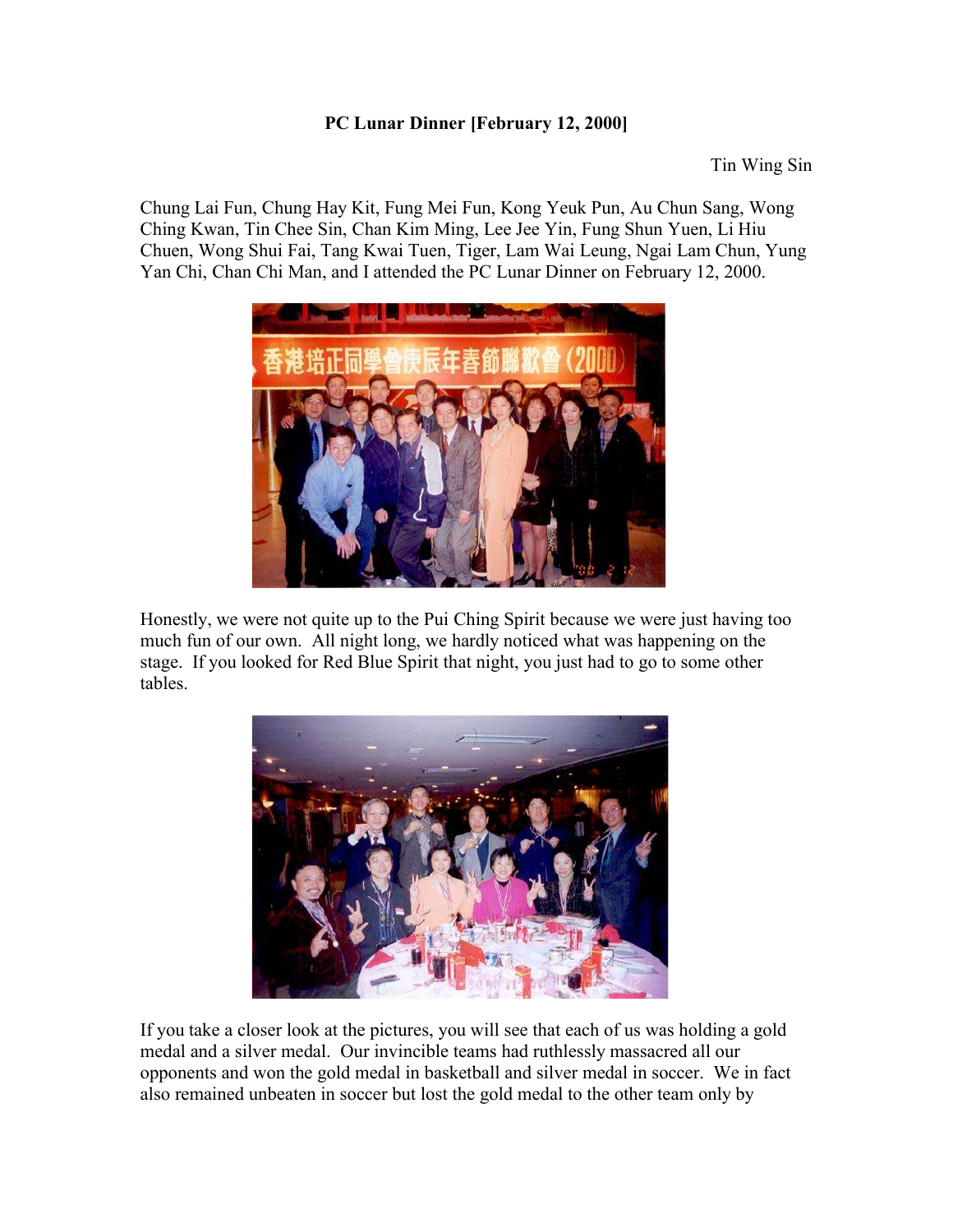## **PC Lunar Dinner [February 12, 2000]**

Tin Wing Sin

Chung Lai Fun, Chung Hay Kit, Fung Mei Fun, Kong Yeuk Pun, Au Chun Sang, Wong Ching Kwan, Tin Chee Sin, Chan Kim Ming, Lee Jee Yin, Fung Shun Yuen, Li Hiu Chuen, Wong Shui Fai, Tang Kwai Tuen, Tiger, Lam Wai Leung, Ngai Lam Chun, Yung Yan Chi, Chan Chi Man, and I attended the PC Lunar Dinner on February 12, 2000.



Honestly, we were not quite up to the Pui Ching Spirit because we were just having too much fun of our own. All night long, we hardly noticed what was happening on the stage. If you looked for Red Blue Spirit that night, you just had to go to some other tables.



If you take a closer look at the pictures, you will see that each of us was holding a gold medal and a silver medal. Our invincible teams had ruthlessly massacred all our opponents and won the gold medal in basketball and silver medal in soccer. We in fact also remained unbeaten in soccer but lost the gold medal to the other team only by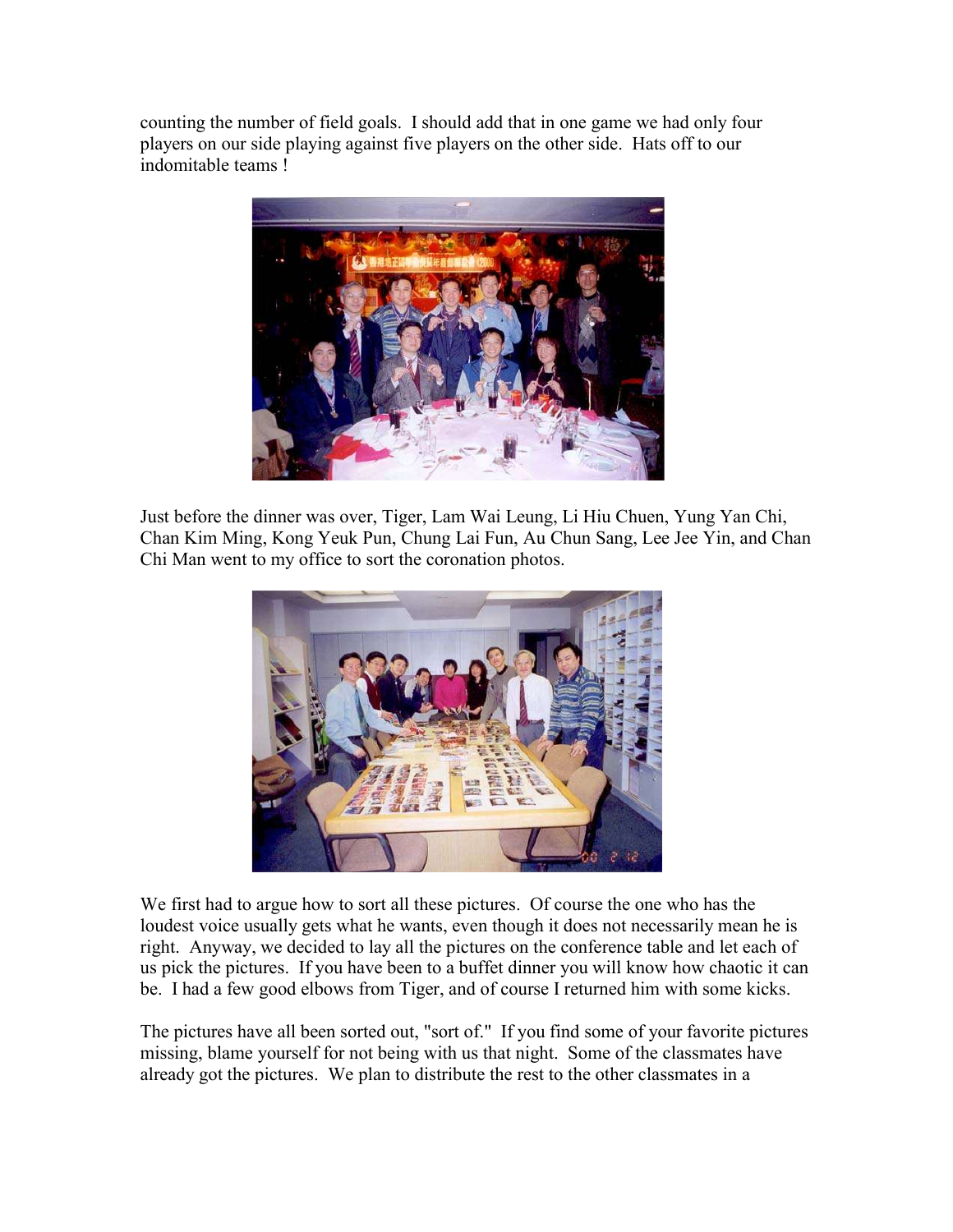counting the number of field goals. I should add that in one game we had only four players on our side playing against five players on the other side. Hats off to our indomitable teams !



Just before the dinner was over, Tiger, Lam Wai Leung, Li Hiu Chuen, Yung Yan Chi, Chan Kim Ming, Kong Yeuk Pun, Chung Lai Fun, Au Chun Sang, Lee Jee Yin, and Chan Chi Man went to my office to sort the coronation photos.



We first had to argue how to sort all these pictures. Of course the one who has the loudest voice usually gets what he wants, even though it does not necessarily mean he is right. Anyway, we decided to lay all the pictures on the conference table and let each of us pick the pictures. If you have been to a buffet dinner you will know how chaotic it can be. I had a few good elbows from Tiger, and of course I returned him with some kicks.

The pictures have all been sorted out, "sort of." If you find some of your favorite pictures missing, blame yourself for not being with us that night. Some of the classmates have already got the pictures. We plan to distribute the rest to the other classmates in a